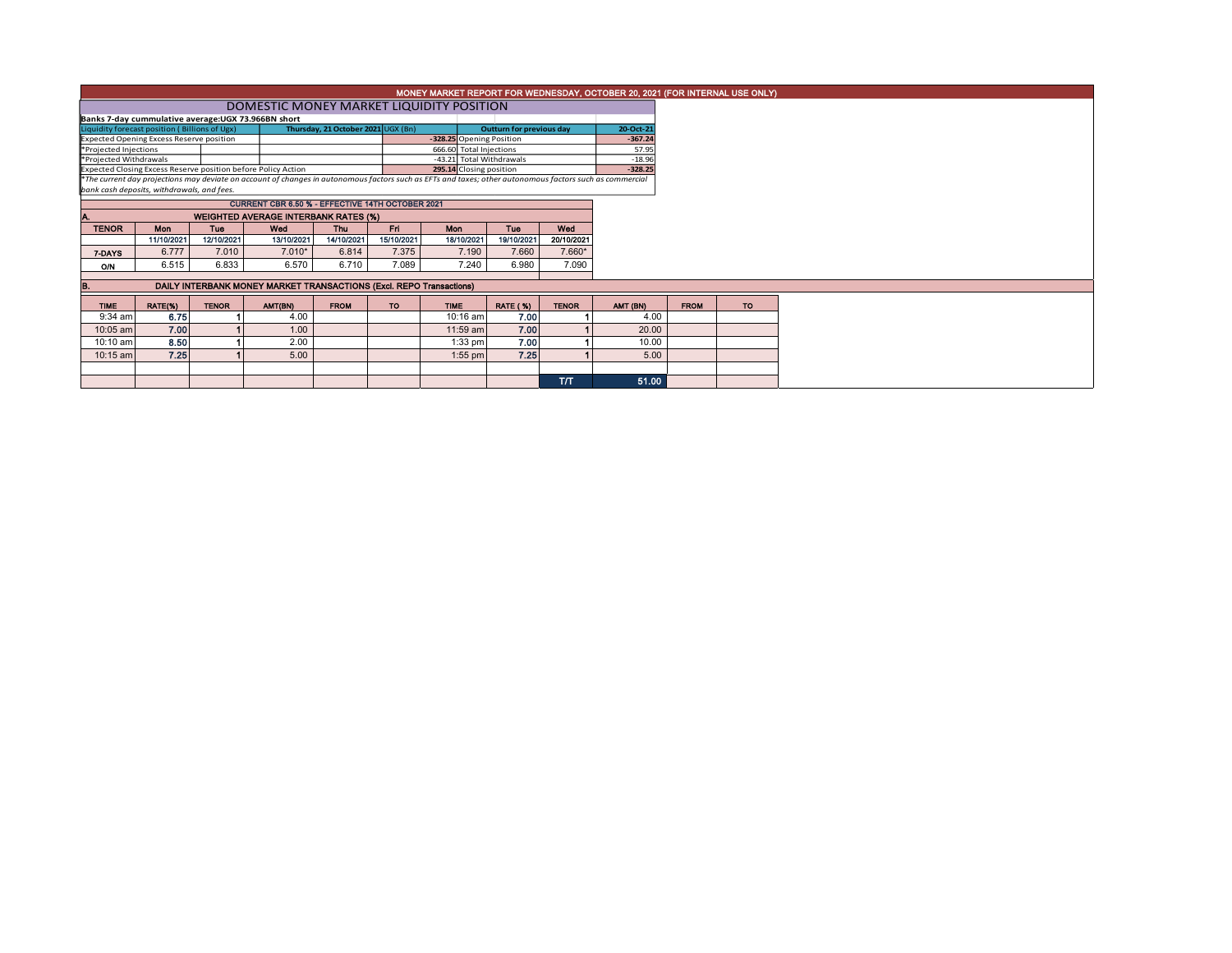| MONEY MARKET REPORT FOR WEDNESDAY, OCTOBER 20, 2021 (FOR INTERNAL USE ONLY)                                                                                                                            |                                                    |              |                                                                     |                                    |            |                          |                 |              |           |             |           |  |  |
|--------------------------------------------------------------------------------------------------------------------------------------------------------------------------------------------------------|----------------------------------------------------|--------------|---------------------------------------------------------------------|------------------------------------|------------|--------------------------|-----------------|--------------|-----------|-------------|-----------|--|--|
|                                                                                                                                                                                                        | DOMESTIC MONEY MARKET LIQUIDITY POSITION           |              |                                                                     |                                    |            |                          |                 |              |           |             |           |  |  |
|                                                                                                                                                                                                        | Banks 7-day cummulative average:UGX 73.966BN short |              |                                                                     |                                    |            |                          |                 |              |           |             |           |  |  |
|                                                                                                                                                                                                        | Liquidity forecast position (Billions of Ugx)      |              |                                                                     | Thursday, 21 October 2021 UGX (Bn) |            | Outturn for previous day |                 | 20-Oct-2     |           |             |           |  |  |
| <b>Expected Opening Excess Reserve position</b>                                                                                                                                                        |                                                    |              |                                                                     |                                    |            | -328.25 Opening Position |                 |              | $-367.24$ |             |           |  |  |
| *Projected Injections                                                                                                                                                                                  |                                                    |              |                                                                     |                                    |            | 666.60 Total Injections  |                 |              | 57.95     |             |           |  |  |
| *Projected Withdrawals                                                                                                                                                                                 |                                                    |              |                                                                     |                                    |            | -43.21 Total Withdrawals |                 |              | $-18.96$  |             |           |  |  |
|                                                                                                                                                                                                        |                                                    |              | Expected Closing Excess Reserve position before Policy Action       |                                    |            | 295.14 Closing position  |                 |              | $-328.25$ |             |           |  |  |
| *The current day projections may deviate on account of changes in autonomous factors such as EFTs and taxes; other autonomous factors such as commercial<br>bank cash deposits, withdrawals, and fees. |                                                    |              |                                                                     |                                    |            |                          |                 |              |           |             |           |  |  |
|                                                                                                                                                                                                        |                                                    |              |                                                                     |                                    |            |                          |                 |              |           |             |           |  |  |
|                                                                                                                                                                                                        |                                                    |              |                                                                     |                                    |            |                          |                 |              |           |             |           |  |  |
|                                                                                                                                                                                                        |                                                    |              | <b>WEIGHTED AVERAGE INTERBANK RATES (%)</b>                         |                                    |            |                          |                 |              |           |             |           |  |  |
| <b>TENOR</b>                                                                                                                                                                                           | <b>Mon</b>                                         | <b>Tue</b>   | Wed                                                                 | <b>Thu</b>                         | Fri        | Mon                      | <b>Tuo</b>      | Wed          |           |             |           |  |  |
|                                                                                                                                                                                                        | 11/10/2021                                         | 12/10/2021   | 13/10/2021                                                          | 14/10/2021                         | 15/10/2021 | 18/10/2021               | 19/10/2021      | 20/10/2021   |           |             |           |  |  |
| 7-DAYS                                                                                                                                                                                                 | 6.777                                              | 7.010        | $7.010*$                                                            | 6.814                              | 7.375      | 7.190                    | 7.660           | 7.660*       |           |             |           |  |  |
| ON                                                                                                                                                                                                     | 6.515                                              | 6.833        | 6.570                                                               | 6.710                              | 7.089      | 7.240                    | 6.980           | 7.090        |           |             |           |  |  |
|                                                                                                                                                                                                        |                                                    |              |                                                                     |                                    |            |                          |                 |              |           |             |           |  |  |
| в.                                                                                                                                                                                                     |                                                    |              | DAILY INTERBANK MONEY MARKET TRANSACTIONS (Excl. REPO Transactions) |                                    |            |                          |                 |              |           |             |           |  |  |
| <b>TIME</b>                                                                                                                                                                                            | RATE(%)                                            | <b>TENOR</b> | AMT(BN)                                                             | <b>FROM</b>                        | TO.        | <b>TIME</b>              | <b>RATE (%)</b> | <b>TENOR</b> | AMT (BN)  | <b>FROM</b> | <b>TO</b> |  |  |
| 9:34 am                                                                                                                                                                                                | 6.75                                               |              | 4.00                                                                |                                    |            | 10:16 am                 | 7.00            |              | 4.00      |             |           |  |  |
| $10:05$ am                                                                                                                                                                                             | 7.00                                               |              | 1.00                                                                |                                    |            | 11:59 am                 | 7.00            |              | 20.00     |             |           |  |  |
| 10:10 am                                                                                                                                                                                               | 8.50                                               |              | 2.00                                                                |                                    |            | $1:33$ pm                | 7.00            |              | 10.00     |             |           |  |  |
| $10:15$ am                                                                                                                                                                                             | 7.25                                               |              | 5.00                                                                |                                    |            | $1:55$ pm                | 7.25            |              | 5.00      |             |           |  |  |
|                                                                                                                                                                                                        |                                                    |              |                                                                     |                                    |            |                          |                 |              |           |             |           |  |  |
|                                                                                                                                                                                                        |                                                    |              |                                                                     |                                    |            |                          |                 | T/T          | 51.00     |             |           |  |  |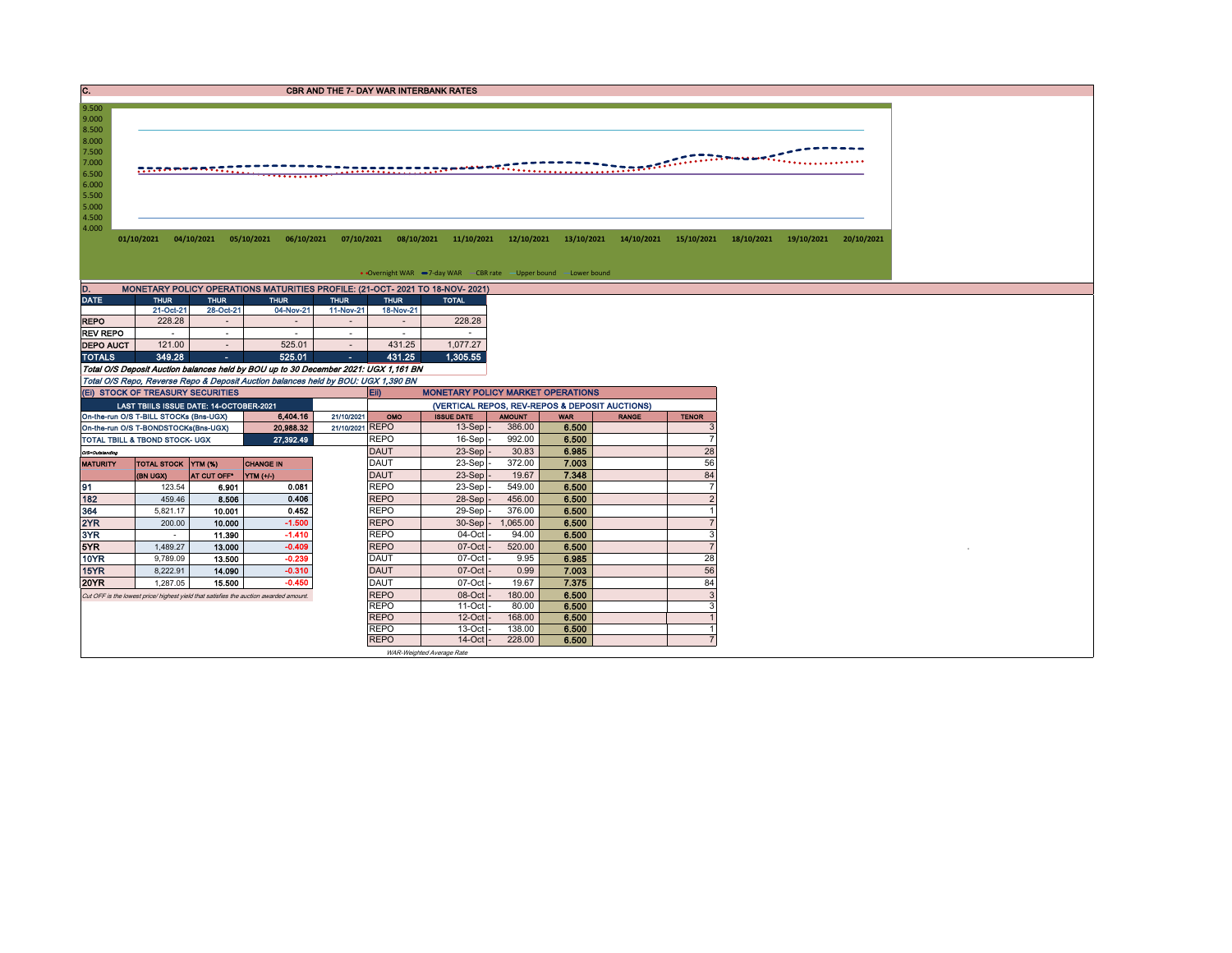| . . | <b>CBR AND THE 7- DAY WAR INTERBANK RATES</b> |
|-----|-----------------------------------------------|
|     |                                               |

`

01/10/2021 04/10/2021 05/10/2021 06/10/2021 07/10/2021 08/10/2021 11/10/2021 12/10/2021 13/10/2021 14/10/2021 15/10/2021 18/10/2021 19/10/2021 20/10/2021

• Overnight WAR -7-day WAR - CBR rate - Upper bound - Lower bound

| MONETARY POLICY OPERATIONS MATURITIES PROFILE: (21-OCT- 2021 TO 18-NOV- 2021)<br>D. |             |           |             |                          |             |              |  |  |  |  |  |  |  |
|-------------------------------------------------------------------------------------|-------------|-----------|-------------|--------------------------|-------------|--------------|--|--|--|--|--|--|--|
| <b>DATE</b>                                                                         | <b>THUR</b> |           | <b>THUR</b> | <b>THUR</b>              | <b>THUR</b> | <b>TOTAL</b> |  |  |  |  |  |  |  |
|                                                                                     | 21-Oct-21   | 28-Oct-21 | 04-Nov-21   | 11-Nov-21                | 18-Nov-21   |              |  |  |  |  |  |  |  |
| <b>REPO</b>                                                                         | 228.28      | ٠         |             | $\overline{\phantom{a}}$ |             | 228.28       |  |  |  |  |  |  |  |
| <b>REV REPO</b>                                                                     |             | ٠         |             |                          | ۰           | ۰            |  |  |  |  |  |  |  |
| <b>DEPO AUCT</b>                                                                    | 121.00      | ٠         | 525.01      |                          | 431.25      | 1.077.27     |  |  |  |  |  |  |  |
| <b>TOTALS</b>                                                                       | 349.28      | ۰         | 525.01      | ۰                        | 431.25      | 1.305.55     |  |  |  |  |  |  |  |

Total O/S Deposit Auction balances held by BOU up to 30 December 2021: UGX 1,161 BN Total O/S Repo, Reverse Repo & Deposit Auction balances held by BOU: UGX 1,390 BN

8.500<br>8.000<br>7.500<br>7.000<br>6.500<br>5.500<br>5.500<br>4.500<br>4.000

9.000 9.500

|                                                                                       | (EI) STOCK OF TREASURY SECURITIES       |                         |           |            | <b>MONETARY POLICY MARKET OPERATIONS</b><br>Eii) |                   |               |            |              |              |  |  |
|---------------------------------------------------------------------------------------|-----------------------------------------|-------------------------|-----------|------------|--------------------------------------------------|-------------------|---------------|------------|--------------|--------------|--|--|
|                                                                                       | LAST TBIILS ISSUE DATE: 14-OCTOBER-2021 |                         |           |            | (VERTICAL REPOS, REV-REPOS & DEPOSIT AUCTIONS)   |                   |               |            |              |              |  |  |
|                                                                                       | On-the-run O/S T-BILL STOCKs (Bns-UGX)  |                         | 6,404.16  | 21/10/2021 | OMO                                              | <b>ISSUE DATE</b> | <b>AMOUNT</b> | <b>WAR</b> | <b>RANGE</b> | <b>TENOR</b> |  |  |
| 21/10/2021 REPO<br>20,988.32<br>On-the-run O/S T-BONDSTOCKs(Bns-UGX)                  |                                         |                         |           |            |                                                  | $13-Sep$ -        | 386.00        | 6.500      |              |              |  |  |
| 27,392.49<br><b>TOTAL TBILL &amp; TBOND STOCK- UGX</b>                                |                                         |                         |           |            | <b>REPO</b>                                      | $16-Sep$          | 992.00        | 6.500      |              |              |  |  |
| O/S=Outstanding                                                                       |                                         |                         |           |            | <b>DAUT</b>                                      | $23-Sep$ -        | 30.83         | 6.985      |              | 28           |  |  |
| TOTAL STOCK YTM (%)<br><b>CHANGE IN</b><br><b>MATURITY</b>                            |                                         |                         |           |            | DAUT                                             | $23-Sep$ -        | 372.00        | 7.003      |              | 56           |  |  |
|                                                                                       | (BN UGX)                                | AT CUT OFF <sup>®</sup> | YTM (+/-) |            | <b>DAUT</b>                                      | $23-Sep$ -        | 19.67         | 7.348      |              | 84           |  |  |
| 91                                                                                    | 123.54                                  | 6.901                   | 0.081     |            | <b>REPO</b>                                      | $23-Sep$ -        | 549.00        | 6.500      |              |              |  |  |
| 182                                                                                   | 459.46                                  | 8.506                   | 0.406     |            | <b>REPO</b>                                      | $28-Sep$ -        | 456.00        | 6.500      |              |              |  |  |
| 364                                                                                   | 5,821.17                                | 10.001                  | 0.452     |            | <b>REPO</b>                                      | 29-Sep-           | 376.00        | 6.500      |              |              |  |  |
| 2YR                                                                                   | 200.00                                  | 10.000                  | $-1.500$  |            | <b>REPO</b>                                      | $30-Sep$ -        | 1,065.00      | 6.500      |              |              |  |  |
| 3YR                                                                                   | $\sim$                                  | 11.390                  | $-1.410$  |            | <b>REPO</b>                                      | $04$ -Oct $-$     | 94.00         | 6.500      |              |              |  |  |
| 5YR                                                                                   | 1.489.27                                | 13.000                  | $-0.409$  |            | <b>REPO</b>                                      | $07-Cct$          | 520.00        | 6.500      |              |              |  |  |
| <b>10YR</b>                                                                           | 9,789.09                                | 13.500                  | $-0.239$  |            | <b>DAUT</b>                                      | $07$ -Oct $-$     | 9.95          | 6.985      |              | 28           |  |  |
| 15YR                                                                                  | 8.222.91                                | 14.090                  | $-0.310$  |            | <b>DAUT</b>                                      | $07-Cct$          | 0.99          | 7.003      |              | 56           |  |  |
| <b>20YR</b>                                                                           | 1.287.05                                | 15.500                  | $-0.450$  |            | <b>DAUT</b>                                      | $07$ -Oct $-$     | 19.67         | 7.375      |              | 84           |  |  |
| Cut OFF is the lowest price/ highest yield that satisfies the auction awarded amount. |                                         |                         |           |            |                                                  | $08$ -Oct $-$     | 180.00        | 6.500      |              |              |  |  |
|                                                                                       |                                         |                         |           |            |                                                  | $11-Oct$          | 80.00         | 6.500      |              |              |  |  |
|                                                                                       |                                         |                         |           |            |                                                  | $12$ -Oct         | 168.00        | 6.500      |              |              |  |  |
|                                                                                       |                                         |                         |           |            | <b>REPO</b>                                      | $13$ -Oct $-$     | 138.00        | 6.500      |              |              |  |  |
|                                                                                       |                                         |                         |           |            | <b>REPO</b>                                      | $14$ -Oct $-$     | 228,00        | 6.500      |              |              |  |  |

WAR-Weighted Average Rate